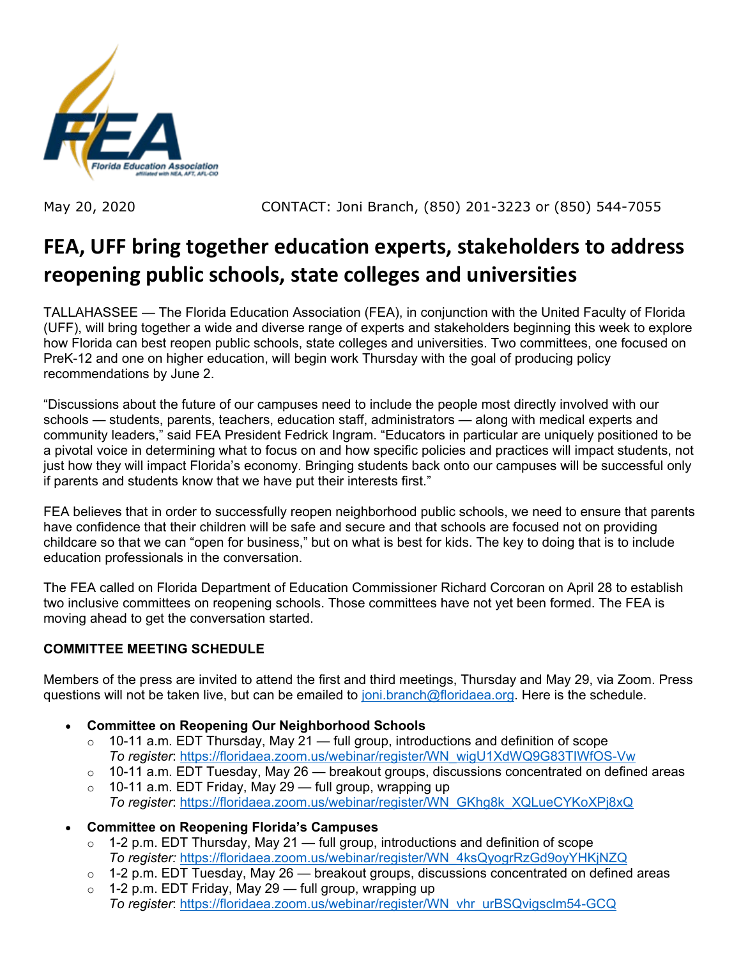

May 20, 2020 CONTACT: Joni Branch, (850) 201-3223 or (850) 544-7055

# **FEA, UFF bring together education experts, stakeholders to address reopening public schools, state colleges and universities**

TALLAHASSEE — The Florida Education Association (FEA), in conjunction with the United Faculty of Florida (UFF), will bring together a wide and diverse range of experts and stakeholders beginning this week to explore how Florida can best reopen public schools, state colleges and universities. Two committees, one focused on PreK-12 and one on higher education, will begin work Thursday with the goal of producing policy recommendations by June 2.

"Discussions about the future of our campuses need to include the people most directly involved with our schools — students, parents, teachers, education staff, administrators — along with medical experts and community leaders," said FEA President Fedrick Ingram. "Educators in particular are uniquely positioned to be a pivotal voice in determining what to focus on and how specific policies and practices will impact students, not just how they will impact Florida's economy. Bringing students back onto our campuses will be successful only if parents and students know that we have put their interests first."

FEA believes that in order to successfully reopen neighborhood public schools, we need to ensure that parents have confidence that their children will be safe and secure and that schools are focused not on providing childcare so that we can "open for business," but on what is best for kids. The key to doing that is to include education professionals in the conversation.

The FEA called on Florida Department of Education Commissioner Richard Corcoran on April 28 to establish two inclusive committees on reopening schools. Those committees have not yet been formed. The FEA is moving ahead to get the conversation started.

## **COMMITTEE MEETING SCHEDULE**

Members of the press are invited to attend the first and third meetings, Thursday and May 29, via Zoom. Press questions will not be taken live, but can be emailed to [joni.branch@floridaea.org.](mailto:joni.branch@floridaea.org) Here is the schedule.

- **Committee on Reopening Our Neighborhood Schools**
	- $\circ$  10-11 a.m. EDT Thursday, May 21 full group, introductions and definition of scope *To register*: [https://floridaea.zoom.us/webinar/register/WN\\_wigU1XdWQ9G83TIWfOS-Vw](https://floridaea.zoom.us/webinar/register/WN_wigU1XdWQ9G83TIWfOS-Vw)
	- $\circ$  10-11 a.m. EDT Tuesday, May 26 breakout groups, discussions concentrated on defined areas
	- $\circ$  10-11 a.m. EDT Friday, May 29 full group, wrapping up
		- *To register*: [https://floridaea.zoom.us/webinar/register/WN\\_GKhg8k\\_XQLueCYKoXPj8xQ](https://floridaea.zoom.us/webinar/register/WN_GKhg8k_XQLueCYKoXPj8xQ)
- **Committee on Reopening Florida's Campuses**
	- $\circ$  1-2 p.m. EDT Thursday, May 21 full group, introductions and definition of scope *To register:* [https://floridaea.zoom.us/webinar/register/WN\\_4ksQyogrRzGd9oyYHKjNZQ](https://floridaea.zoom.us/webinar/register/WN_4ksQyogrRzGd9oyYHKjNZQ)
	- $\circ$  1-2 p.m. EDT Tuesday, May 26 breakout groups, discussions concentrated on defined areas
	- $\circ$  1-2 p.m. EDT Friday, May 29 full group, wrapping up *To register*: [https://floridaea.zoom.us/webinar/register/WN\\_vhr\\_urBSQvigsclm54-GCQ](https://floridaea.zoom.us/webinar/register/WN_vhr_urBSQvigsclm54-GCQ)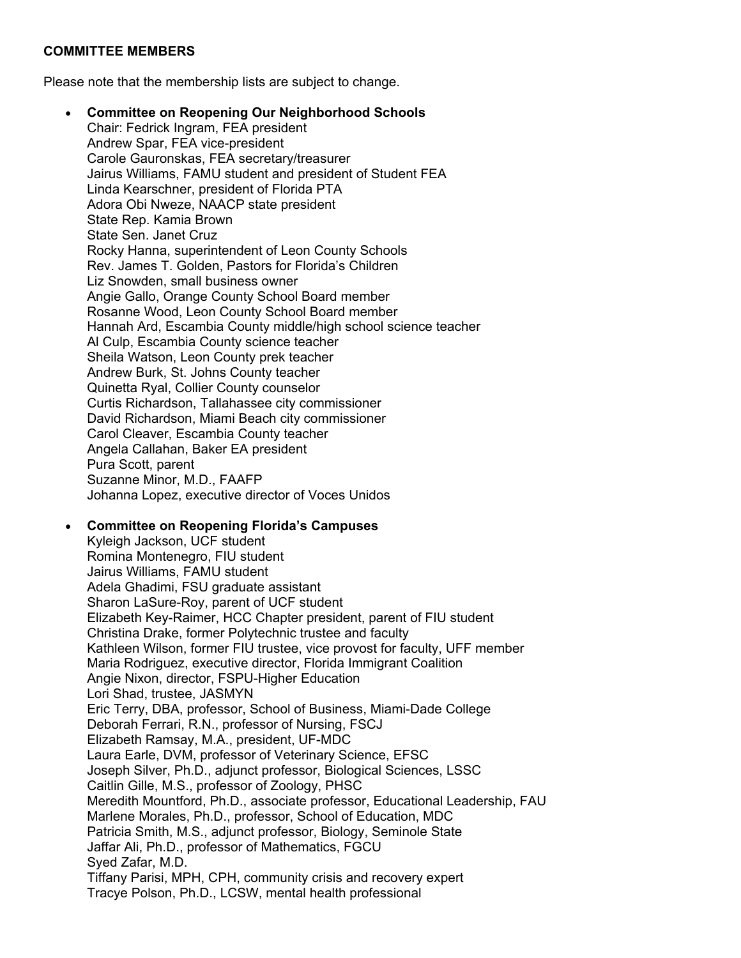#### **COMMITTEE MEMBERS**

Please note that the membership lists are subject to change.

• **Committee on Reopening Our Neighborhood Schools** Chair: Fedrick Ingram, FEA president Andrew Spar, FEA vice-president Carole Gauronskas, FEA secretary/treasurer Jairus Williams, FAMU student and president of Student FEA Linda Kearschner, president of Florida PTA Adora Obi Nweze, NAACP state president State Rep. Kamia Brown State Sen. Janet Cruz Rocky Hanna, superintendent of Leon County Schools Rev. James T. Golden, Pastors for Florida's Children Liz Snowden, small business owner Angie Gallo, Orange County School Board member Rosanne Wood, Leon County School Board member Hannah Ard, Escambia County middle/high school science teacher Al Culp, Escambia County science teacher Sheila Watson, Leon County prek teacher Andrew Burk, St. Johns County teacher Quinetta Ryal, Collier County counselor Curtis Richardson, Tallahassee city commissioner David Richardson, Miami Beach city commissioner Carol Cleaver, Escambia County teacher Angela Callahan, Baker EA president Pura Scott, parent Suzanne Minor, M.D., FAAFP Johanna Lopez, executive director of Voces Unidos

### • **Committee on Reopening Florida's Campuses** Kyleigh Jackson, UCF student Romina Montenegro, FIU student Jairus Williams, FAMU student Adela Ghadimi, FSU graduate assistant Sharon LaSure-Roy, parent of UCF student Elizabeth Key-Raimer, HCC Chapter president, parent of FIU student Christina Drake, former Polytechnic trustee and faculty Kathleen Wilson, former FIU trustee, vice provost for faculty, UFF member Maria Rodriguez, executive director, Florida Immigrant Coalition Angie Nixon, director, FSPU-Higher Education Lori Shad, trustee, JASMYN Eric Terry, DBA, professor, School of Business, Miami-Dade College Deborah Ferrari, R.N., professor of Nursing, FSCJ Elizabeth Ramsay, M.A., president, UF-MDC Laura Earle, DVM, professor of Veterinary Science, EFSC Joseph Silver, Ph.D., adjunct professor, Biological Sciences, LSSC

Caitlin Gille, M.S., professor of Zoology, PHSC

Meredith Mountford, Ph.D., associate professor, Educational Leadership, FAU

Marlene Morales, Ph.D., professor, School of Education, MDC

Patricia Smith, M.S., adjunct professor, Biology, Seminole State

Jaffar Ali, Ph.D., professor of Mathematics, FGCU

Syed Zafar, M.D.

Tiffany Parisi, MPH, CPH, community crisis and recovery expert Tracye Polson, Ph.D., LCSW, mental health professional